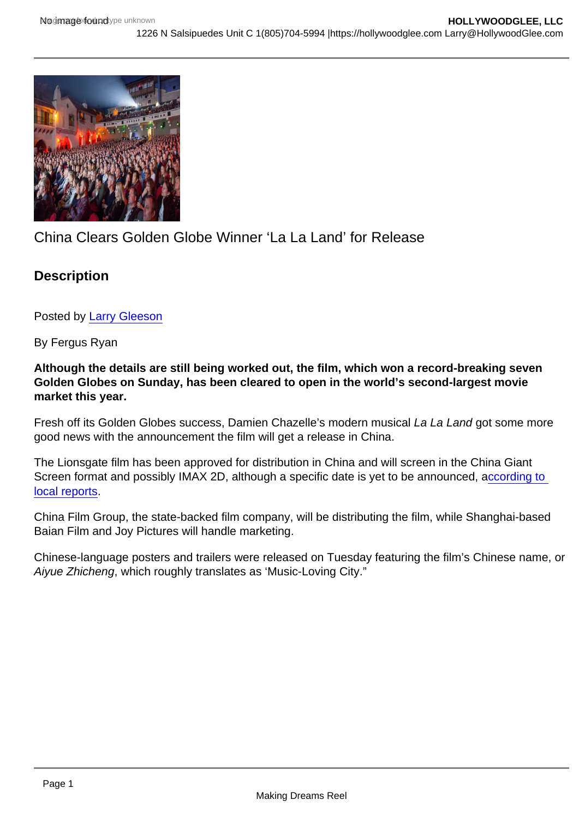## China Clears Golden Globe Winner 'La La Land' for Release

**Description** 

Posted by [Larry Gleeson](http://sbccfilmreviews.org/?s=Larry+Gleeson)

By Fergus Ryan

Although the details are still being worked out, the film, which won a record-breaking seven Golden Globes on Sunday, has been cleared to open in the world's second-largest movie market this year.

Fresh off its Golden Globes success, Damien Chazelle's modern musical La La Land got some more good news with the announcement the film will get a release in China.

The Lionsgate film has been approved for distribution in China and will screen in the China Giant Screen format and possibly IMAX 2D, although a specific date is yet to be announced, according to [local reports](http://news.cnwest.com/content/2017-01/10/content_14387473.htm).

China Film Group, the state-backed film company, will be distributing the film, while Shanghai-based Baian Film and Joy Pictures will handle marketing.

Chinese-language posters and trailers were released on Tuesday featuring the film's Chinese name, or Aiyue Zhicheng, which roughly translates as 'Music-Loving City."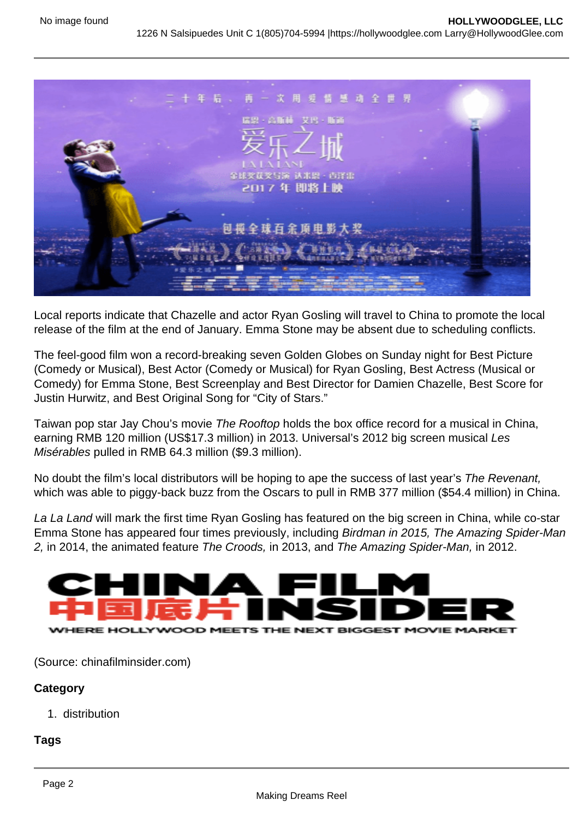

Local reports indicate that Chazelle and actor Ryan Gosling will travel to China to promote the local release of the film at the end of January. Emma Stone may be absent due to scheduling conflicts.

The feel-good film won a record-breaking seven Golden Globes on Sunday night for Best Picture (Comedy or Musical), Best Actor (Comedy or Musical) for Ryan Gosling, Best Actress (Musical or Comedy) for Emma Stone, Best Screenplay and Best Director for Damien Chazelle, Best Score for Justin Hurwitz, and Best Original Song for "City of Stars."

Taiwan pop star Jay Chou's movie The Rooftop holds the box office record for a musical in China, earning RMB 120 million (US\$17.3 million) in 2013. Universal's 2012 big screen musical Les Misérables pulled in RMB 64.3 million (\$9.3 million).

No doubt the film's local distributors will be hoping to ape the success of last year's The Revenant, which was able to piggy-back buzz from the Oscars to pull in RMB 377 million (\$54.4 million) in China.

La La Land will mark the first time Ryan Gosling has featured on the big screen in China, while co-star Emma Stone has appeared four times previously, including Birdman in 2015, The Amazing Spider-Man 2, in 2014, the animated feature The Croods, in 2013, and The Amazing Spider-Man, in 2012.



(Source: chinafilminsider.com)

## **Category**

1. distribution

## **Tags**